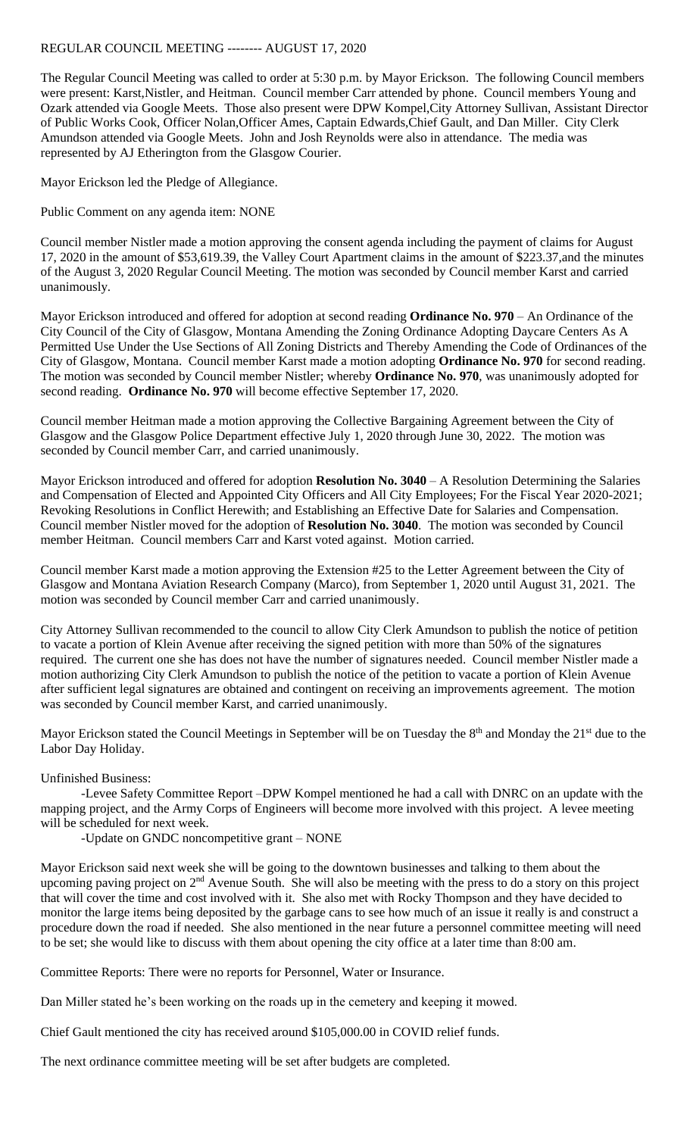## REGULAR COUNCIL MEETING -------- AUGUST 17, 2020

The Regular Council Meeting was called to order at 5:30 p.m. by Mayor Erickson. The following Council members were present: Karst,Nistler, and Heitman. Council member Carr attended by phone. Council members Young and Ozark attended via Google Meets. Those also present were DPW Kompel,City Attorney Sullivan, Assistant Director of Public Works Cook, Officer Nolan,Officer Ames, Captain Edwards,Chief Gault, and Dan Miller. City Clerk Amundson attended via Google Meets. John and Josh Reynolds were also in attendance. The media was represented by AJ Etherington from the Glasgow Courier.

Mayor Erickson led the Pledge of Allegiance.

Public Comment on any agenda item: NONE

Council member Nistler made a motion approving the consent agenda including the payment of claims for August 17, 2020 in the amount of \$53,619.39, the Valley Court Apartment claims in the amount of \$223.37,and the minutes of the August 3, 2020 Regular Council Meeting. The motion was seconded by Council member Karst and carried unanimously.

Mayor Erickson introduced and offered for adoption at second reading **Ordinance No. 970** – An Ordinance of the City Council of the City of Glasgow, Montana Amending the Zoning Ordinance Adopting Daycare Centers As A Permitted Use Under the Use Sections of All Zoning Districts and Thereby Amending the Code of Ordinances of the City of Glasgow, Montana. Council member Karst made a motion adopting **Ordinance No. 970** for second reading. The motion was seconded by Council member Nistler; whereby **Ordinance No. 970**, was unanimously adopted for second reading. **Ordinance No. 970** will become effective September 17, 2020.

Council member Heitman made a motion approving the Collective Bargaining Agreement between the City of Glasgow and the Glasgow Police Department effective July 1, 2020 through June 30, 2022. The motion was seconded by Council member Carr, and carried unanimously.

Mayor Erickson introduced and offered for adoption **Resolution No. 3040** – A Resolution Determining the Salaries and Compensation of Elected and Appointed City Officers and All City Employees; For the Fiscal Year 2020-2021; Revoking Resolutions in Conflict Herewith; and Establishing an Effective Date for Salaries and Compensation. Council member Nistler moved for the adoption of **Resolution No. 3040**. The motion was seconded by Council member Heitman. Council members Carr and Karst voted against. Motion carried.

Council member Karst made a motion approving the Extension #25 to the Letter Agreement between the City of Glasgow and Montana Aviation Research Company (Marco), from September 1, 2020 until August 31, 2021. The motion was seconded by Council member Carr and carried unanimously.

City Attorney Sullivan recommended to the council to allow City Clerk Amundson to publish the notice of petition to vacate a portion of Klein Avenue after receiving the signed petition with more than 50% of the signatures required. The current one she has does not have the number of signatures needed. Council member Nistler made a motion authorizing City Clerk Amundson to publish the notice of the petition to vacate a portion of Klein Avenue after sufficient legal signatures are obtained and contingent on receiving an improvements agreement. The motion was seconded by Council member Karst, and carried unanimously.

Mayor Erickson stated the Council Meetings in September will be on Tuesday the 8<sup>th</sup> and Monday the 21<sup>st</sup> due to the Labor Day Holiday.

## Unfinished Business:

-Levee Safety Committee Report –DPW Kompel mentioned he had a call with DNRC on an update with the mapping project, and the Army Corps of Engineers will become more involved with this project. A levee meeting will be scheduled for next week.

-Update on GNDC noncompetitive grant – NONE

Mayor Erickson said next week she will be going to the downtown businesses and talking to them about the upcoming paving project on 2<sup>nd</sup> Avenue South. She will also be meeting with the press to do a story on this project that will cover the time and cost involved with it. She also met with Rocky Thompson and they have decided to monitor the large items being deposited by the garbage cans to see how much of an issue it really is and construct a procedure down the road if needed. She also mentioned in the near future a personnel committee meeting will need to be set; she would like to discuss with them about opening the city office at a later time than 8:00 am.

Committee Reports: There were no reports for Personnel, Water or Insurance.

Dan Miller stated he's been working on the roads up in the cemetery and keeping it mowed.

Chief Gault mentioned the city has received around \$105,000.00 in COVID relief funds.

The next ordinance committee meeting will be set after budgets are completed.